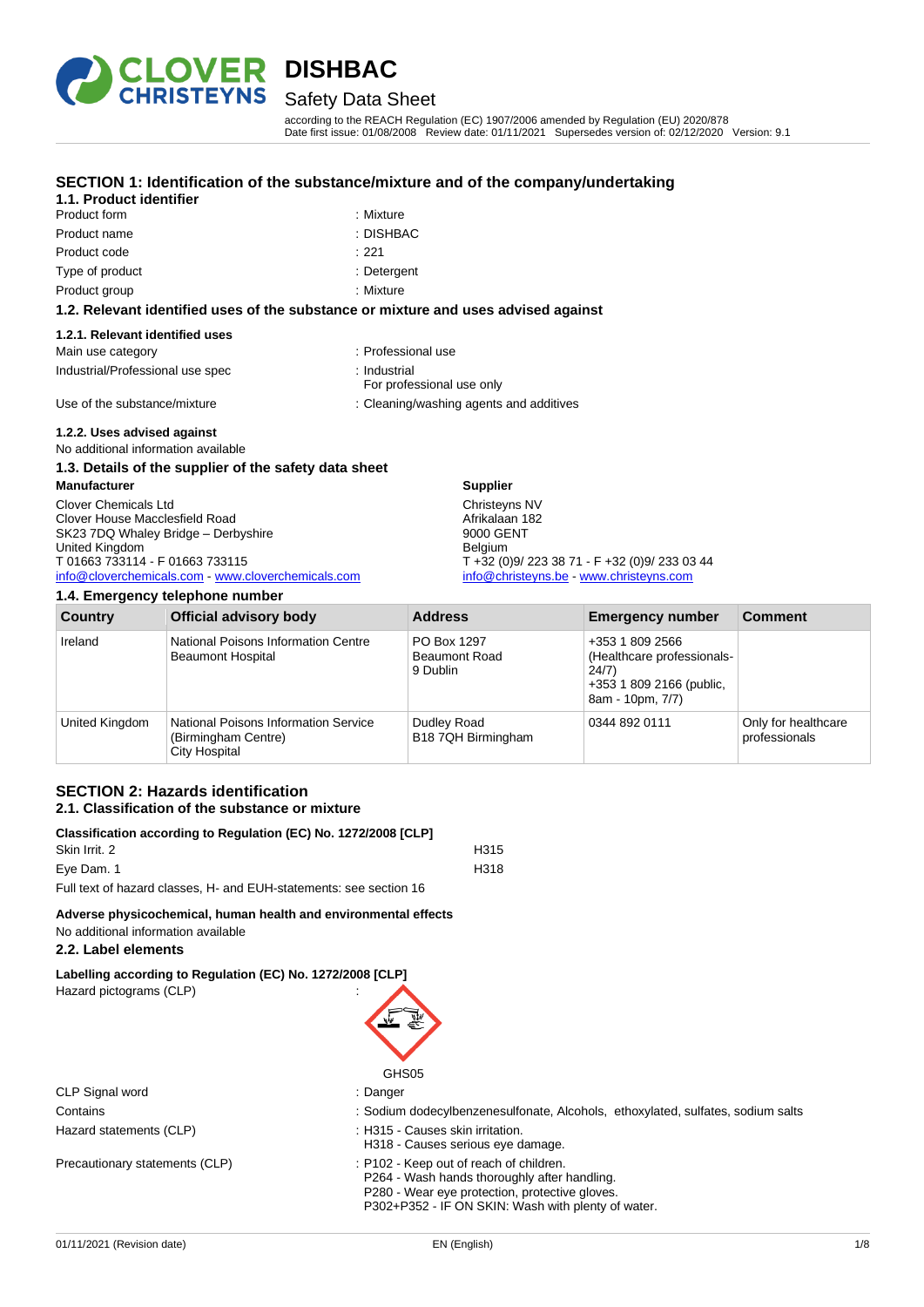

# Safety Data Sheet

according to the REACH Regulation (EC) 1907/2006 amended by Regulation (EU) 2020/878 Date first issue: 01/08/2008 Review date: 01/11/2021 Supersedes version of: 02/12/2020 Version: 9.1

#### **SECTION 1: Identification of the substance/mixture and of the company/undertaking 1.1. Product identifier**

| <u>I.I. Frouget Igentiler</u>                                                      |             |  |  |  |
|------------------------------------------------------------------------------------|-------------|--|--|--|
| Product form                                                                       | : Mixture   |  |  |  |
| Product name                                                                       | : DISHBAC   |  |  |  |
| Product code                                                                       | : 221       |  |  |  |
| Type of product                                                                    | : Detergent |  |  |  |
| Product group                                                                      | : Mixture   |  |  |  |
| 1.2. Relevant identified uses of the substance or mixture and uses advised against |             |  |  |  |

#### **1.2.1. Relevant identified uses**

| Main use category                | : Professional use                        |
|----------------------------------|-------------------------------------------|
| Industrial/Professional use spec | : Industrial<br>For professional use only |
| Use of the substance/mixture     | : Cleaning/washing agents and additives   |
| 1.2.2. Uses advised against      |                                           |

No additional information available

# **1.3. Details of the supplier of the safety data sheet**

| Manufacturer                                     | <b>Supplier</b>                               |
|--------------------------------------------------|-----------------------------------------------|
| Clover Chemicals Ltd                             | Christeyns NV                                 |
| Clover House Macclesfield Road                   | Afrikalaan 182                                |
| SK23 7DQ Whaley Bridge - Derbyshire              | 9000 GENT                                     |
| United Kingdom                                   | <b>Belgium</b>                                |
| T 01663 733114 - F 01663 733115                  | T +32 (0)9/ 223 38 71 - F +32 (0)9/ 233 03 44 |
| info@cloverchemicals.com www.cloverchemicals.com | info@christeyns.be - www.christeyns.com       |
|                                                  |                                               |

### **1.4. Emergency telephone number**

| Country        | <b>Official advisory body</b>                                                | <b>Address</b>                                  | <b>Emergency number</b>                                                                                | <b>Comment</b>                       |  |
|----------------|------------------------------------------------------------------------------|-------------------------------------------------|--------------------------------------------------------------------------------------------------------|--------------------------------------|--|
| Ireland        | National Poisons Information Centre<br><b>Beaumont Hospital</b>              | PO Box 1297<br><b>Beaumont Road</b><br>9 Dublin | +353 1 809 2566<br>(Healthcare professionals-<br>24/7)<br>+353 1 809 2166 (public,<br>8am - 10pm, 7/7) |                                      |  |
| United Kingdom | National Poisons Information Service<br>(Birmingham Centre)<br>City Hospital | Dudley Road<br>B18 7QH Birmingham               | 0344 892 0111                                                                                          | Only for healthcare<br>professionals |  |

# **SECTION 2: Hazards identification 2.1. Classification of the substance or mixture**

| Classification according to Regulation (EC) No. 1272/2008 [CLP]    |                  |  |
|--------------------------------------------------------------------|------------------|--|
| Skin Irrit. 2                                                      | H <sub>315</sub> |  |
| Eve Dam. 1                                                         | H318             |  |
| Full text of hazard classes, H- and EUH-statements: see section 16 |                  |  |

# **Adverse physicochemical, human health and environmental effects**

No additional information available

## **2.2. Label elements**

**Labelling according to Regulation (EC) No. 1272/2008 [CLP]**

| Hazard pictograms (CLP) |  | . . |  | ٠<br>٠ |
|-------------------------|--|-----|--|--------|
|                         |  |     |  |        |
| CLP Signal word         |  |     |  | ٠<br>٠ |

Hazard statements (CLP)  $\qquad \qquad$ : H315 - Causes skin irritation.

Precautionary statements (CLP) : P102 - Keep out of reach of children.





- Contains **Solum dodecylbenzenesulfonate, Alcohols, ethoxylated, sulfates, sodium salts** Sodium salts
	-
	- H318 Causes serious eye damage.
	- P264 Wash hands thoroughly after handling. P280 - Wear eye protection, protective gloves.
	- P302+P352 IF ON SKIN: Wash with plenty of water.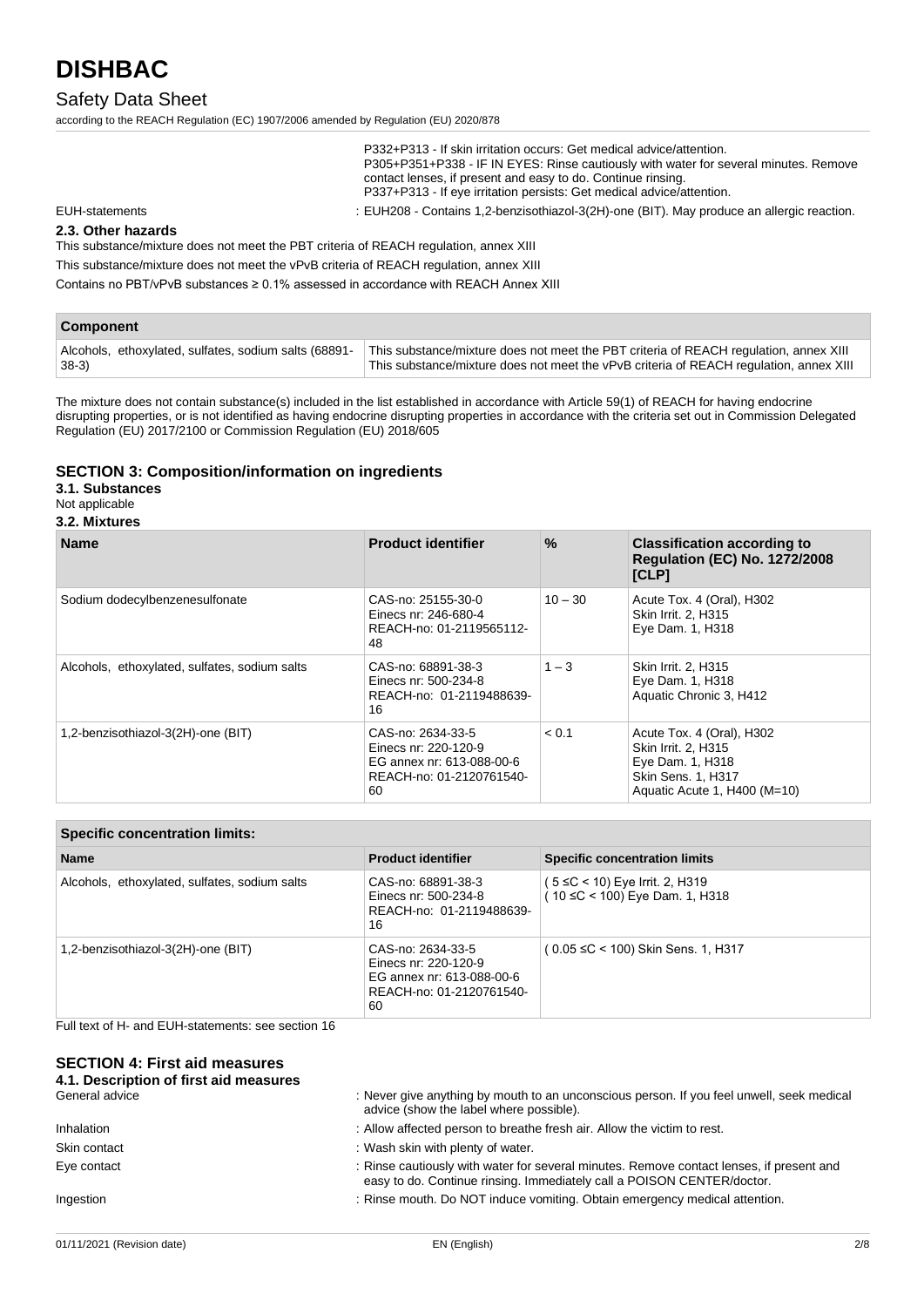# Safety Data Sheet

according to the REACH Regulation (EC) 1907/2006 amended by Regulation (EU) 2020/878

| P332+P313 - If skin irritation occurs: Get medical advice/attention.                 |
|--------------------------------------------------------------------------------------|
| P305+P351+P338 - IF IN EYES: Rinse cautiously with water for several minutes. Remove |
| contact lenses, if present and easy to do. Continue rinsing.                         |
| P337+P313 - If eye irritation persists: Get medical advice/attention.                |
|                                                                                      |

EUH-statements : EUH208 - Contains 1,2-benzisothiazol-3(2H)-one (BIT). May produce an allergic reaction.

### **2.3. Other hazards**

This substance/mixture does not meet the PBT criteria of REACH regulation, annex XIII

This substance/mixture does not meet the vPvB criteria of REACH regulation, annex XIII

Contains no PBT/vPvB substances ≥ 0.1% assessed in accordance with REACH Annex XIII

| <b>Component</b>                                      |                                                                                        |
|-------------------------------------------------------|----------------------------------------------------------------------------------------|
| Alcohols, ethoxylated, sulfates, sodium salts (68891- | This substance/mixture does not meet the PBT criteria of REACH regulation, annex XIII  |
| $38-3)$                                               | This substance/mixture does not meet the vPvB criteria of REACH regulation, annex XIII |

The mixture does not contain substance(s) included in the list established in accordance with Article 59(1) of REACH for having endocrine disrupting properties, or is not identified as having endocrine disrupting properties in accordance with the criteria set out in Commission Delegated Regulation (EU) 2017/2100 or Commission Regulation (EU) 2018/605

# **SECTION 3: Composition/information on ingredients**

**3.1. Substances**

Not applicable

| 3.2. Mixtures |  |
|---------------|--|
|               |  |

| <b>Name</b>                                   | <b>Product identifier</b>                                                                                | $\%$      | <b>Classification according to</b><br><b>Regulation (EC) No. 1272/2008</b><br>[CLP]                                        |
|-----------------------------------------------|----------------------------------------------------------------------------------------------------------|-----------|----------------------------------------------------------------------------------------------------------------------------|
| Sodium dodecylbenzenesulfonate                | CAS-no: 25155-30-0<br>Einecs nr: 246-680-4<br>REACH-no: 01-2119565112-<br>48                             | $10 - 30$ | Acute Tox. 4 (Oral), H302<br>Skin Irrit. 2, H315<br>Eye Dam. 1, H318                                                       |
| Alcohols, ethoxylated, sulfates, sodium salts | CAS-no: 68891-38-3<br>Einecs nr: 500-234-8<br>REACH-no: 01-2119488639-<br>16                             | $1 - 3$   | Skin Irrit. 2. H315<br>Eye Dam. 1, H318<br>Aquatic Chronic 3, H412                                                         |
| 1,2-benzisothiazol-3(2H)-one (BIT)            | CAS-no: 2634-33-5<br>Einecs nr: 220-120-9<br>EG annex nr: 613-088-00-6<br>REACH-no: 01-2120761540-<br>60 | < 0.1     | Acute Tox. 4 (Oral), H302<br>Skin Irrit. 2, H315<br>Eye Dam. 1, H318<br>Skin Sens. 1, H317<br>Aquatic Acute 1, H400 (M=10) |

|  | <b>Specific concentration limits:</b> |  |
|--|---------------------------------------|--|
|  |                                       |  |

| <b>Name</b>                                   | <b>Product identifier</b>                                                                                | <b>Specific concentration limits</b>                              |  |  |
|-----------------------------------------------|----------------------------------------------------------------------------------------------------------|-------------------------------------------------------------------|--|--|
| Alcohols, ethoxylated, sulfates, sodium salts | CAS-no: 68891-38-3<br>Einecs nr: 500-234-8<br>REACH-no: 01-2119488639-<br>16                             | ( 5 ≤C < 10) Eye Irrit. 2, H319<br>(10 ≤C < 100) Eye Dam. 1, H318 |  |  |
| 1,2-benzisothiazol-3(2H)-one (BIT)            | CAS-no: 2634-33-5<br>Einecs nr: 220-120-9<br>EG annex nr: 613-088-00-6<br>REACH-no: 01-2120761540-<br>60 | $(0.05 \leq C < 100)$ Skin Sens. 1, H317                          |  |  |

Full text of H- and EUH-statements: see section 16

#### **SECTION 4: First aid measures 4.1. Description of first aid measures**

| 7. Description or mot ald measures<br>General advice | : Never give anything by mouth to an unconscious person. If you feel unwell, seek medical                                                                          |
|------------------------------------------------------|--------------------------------------------------------------------------------------------------------------------------------------------------------------------|
|                                                      | advice (show the label where possible).                                                                                                                            |
| Inhalation                                           | : Allow affected person to breathe fresh air. Allow the victim to rest.                                                                                            |
| Skin contact                                         | : Wash skin with plenty of water.                                                                                                                                  |
| Eye contact                                          | : Rinse cautiously with water for several minutes. Remove contact lenses, if present and<br>easy to do. Continue rinsing. Immediately call a POISON CENTER/doctor. |
| Ingestion                                            | : Rinse mouth. Do NOT induce vomiting. Obtain emergency medical attention.                                                                                         |
|                                                      |                                                                                                                                                                    |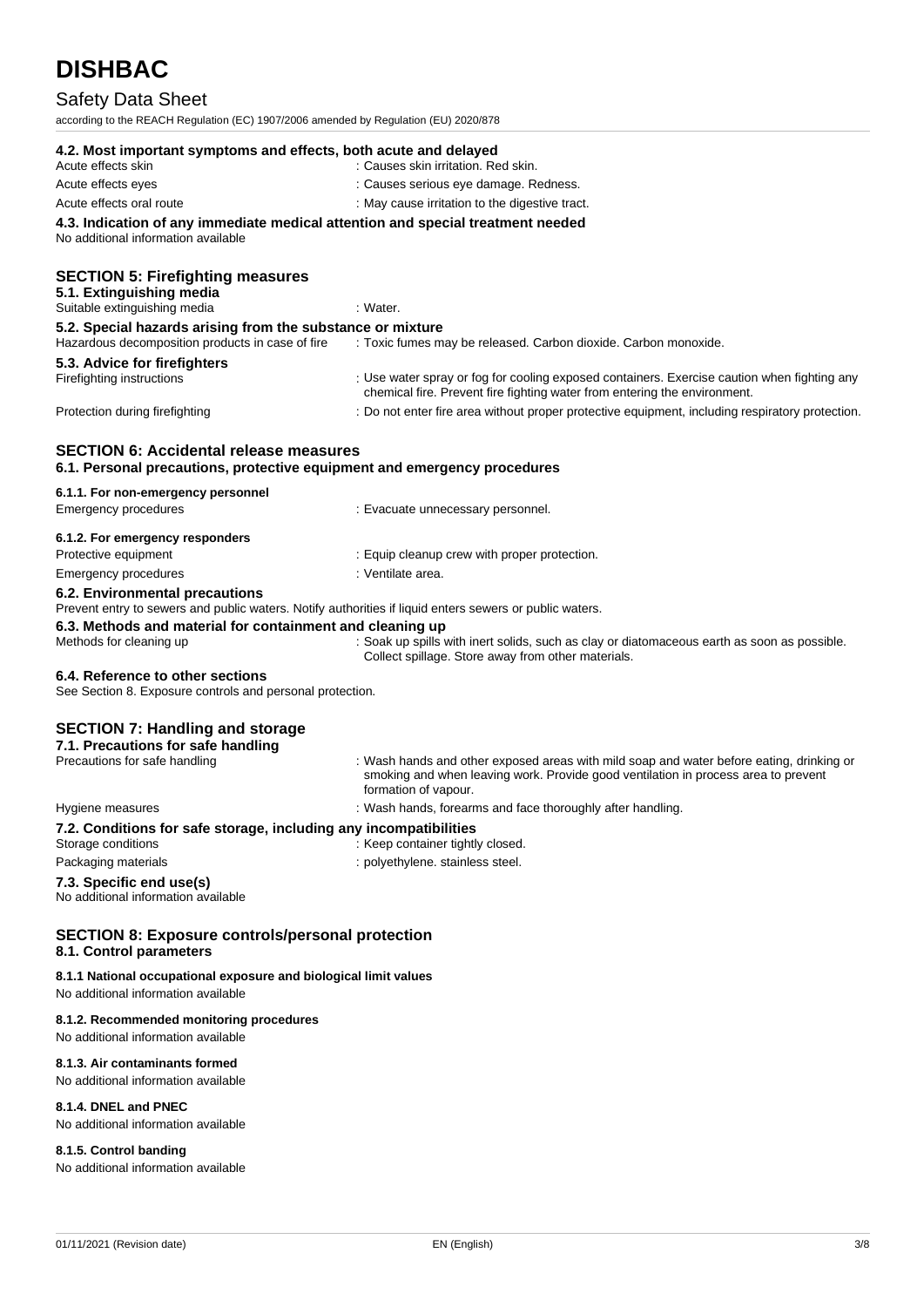# Safety Data Sheet

to the REACH Regulation (EC) 1907/2006 amended by Regulation (EU) 2020/878

| according to the KLACH Kegulation (LC) 1907/2000 amended by Kegulation (LO) 2020/070                                                      |                                                                                                                                                                                                        |
|-------------------------------------------------------------------------------------------------------------------------------------------|--------------------------------------------------------------------------------------------------------------------------------------------------------------------------------------------------------|
| 4.2. Most important symptoms and effects, both acute and delayed<br>Acute effects skin                                                    | : Causes skin irritation. Red skin.                                                                                                                                                                    |
| Acute effects eyes                                                                                                                        | : Causes serious eye damage. Redness.                                                                                                                                                                  |
| Acute effects oral route                                                                                                                  | : May cause irritation to the digestive tract.                                                                                                                                                         |
| 4.3. Indication of any immediate medical attention and special treatment needed<br>No additional information available                    |                                                                                                                                                                                                        |
| <b>SECTION 5: Firefighting measures</b><br>5.1. Extinguishing media<br>Suitable extinguishing media                                       | : Water.                                                                                                                                                                                               |
| 5.2. Special hazards arising from the substance or mixture<br>Hazardous decomposition products in case of fire                            | : Toxic fumes may be released. Carbon dioxide. Carbon monoxide.                                                                                                                                        |
| 5.3. Advice for firefighters                                                                                                              |                                                                                                                                                                                                        |
| Firefighting instructions                                                                                                                 | : Use water spray or fog for cooling exposed containers. Exercise caution when fighting any<br>chemical fire. Prevent fire fighting water from entering the environment.                               |
| Protection during firefighting                                                                                                            | : Do not enter fire area without proper protective equipment, including respiratory protection.                                                                                                        |
| <b>SECTION 6: Accidental release measures</b><br>6.1. Personal precautions, protective equipment and emergency procedures                 |                                                                                                                                                                                                        |
| 6.1.1. For non-emergency personnel<br><b>Emergency procedures</b>                                                                         | : Evacuate unnecessary personnel.                                                                                                                                                                      |
| 6.1.2. For emergency responders                                                                                                           |                                                                                                                                                                                                        |
| Protective equipment                                                                                                                      | : Equip cleanup crew with proper protection.                                                                                                                                                           |
| <b>Emergency procedures</b>                                                                                                               | : Ventilate area.                                                                                                                                                                                      |
| 6.2. Environmental precautions<br>Prevent entry to sewers and public waters. Notify authorities if liquid enters sewers or public waters. |                                                                                                                                                                                                        |
| 6.3. Methods and material for containment and cleaning up<br>Methods for cleaning up                                                      | : Soak up spills with inert solids, such as clay or diatomaceous earth as soon as possible.<br>Collect spillage. Store away from other materials.                                                      |
| 6.4. Reference to other sections<br>See Section 8. Exposure controls and personal protection.                                             |                                                                                                                                                                                                        |
| <b>SECTION 7: Handling and storage</b><br>7.1. Precautions for safe handling<br>Precautions for safe handling                             | : Wash hands and other exposed areas with mild soap and water before eating, drinking or<br>smoking and when leaving work. Provide good ventilation in process area to prevent<br>formation of vapour. |
| Hygiene measures                                                                                                                          | : Wash hands, forearms and face thoroughly after handling.                                                                                                                                             |
| 7.2. Conditions for safe storage, including any incompatibilities                                                                         |                                                                                                                                                                                                        |
| Storage conditions                                                                                                                        | : Keep container tightly closed.                                                                                                                                                                       |
| Packaging materials                                                                                                                       | : polyethylene. stainless steel.                                                                                                                                                                       |
| 7.3. Specific end use(s)<br>No additional information available                                                                           |                                                                                                                                                                                                        |
| <b>SECTION 8: Exposure controls/personal protection</b><br>8.1. Control parameters                                                        |                                                                                                                                                                                                        |

# **8.1.1 National occupational exposure and biological limit values**

No additional information available

#### **8.1.2. Recommended monitoring procedures**

No additional information available

# **8.1.3. Air contaminants formed**

No additional information available

### **8.1.4. DNEL and PNEC**

No additional information available

### **8.1.5. Control banding**

No additional information available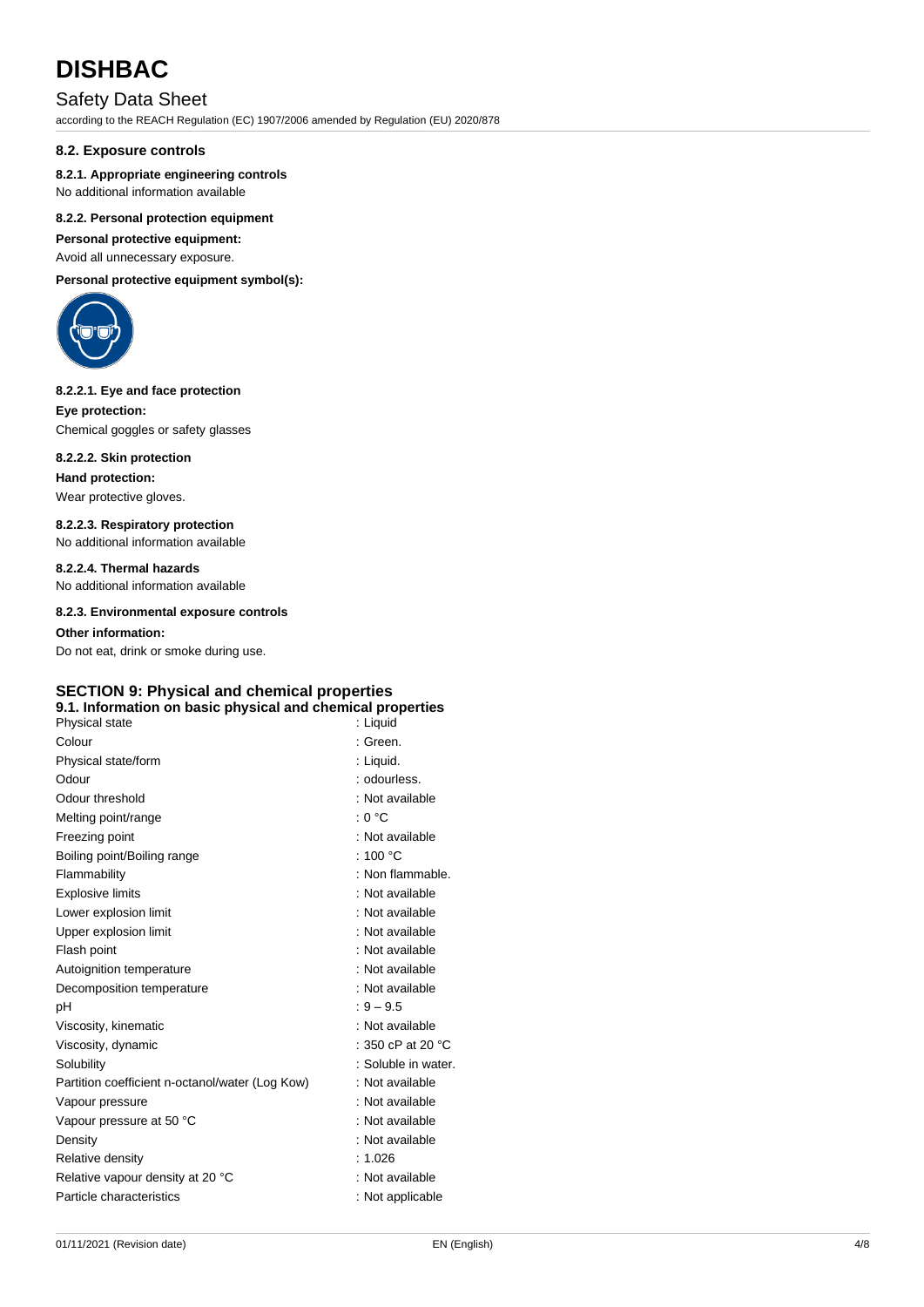# Safety Data Sheet

according to the REACH Regulation (EC) 1907/2006 amended by Regulation (EU) 2020/878

### **8.2. Exposure controls**

### **8.2.1. Appropriate engineering controls**

No additional information available

### **8.2.2. Personal protection equipment**

**Personal protective equipment:**

Avoid all unnecessary exposure.

**Personal protective equipment symbol(s):**



#### **8.2.2.1. Eye and face protection**

**Eye protection:** Chemical goggles or safety glasses

### **8.2.2.2. Skin protection**

**Hand protection:**

Wear protective gloves.

**8.2.2.3. Respiratory protection** No additional information available

**8.2.2.4. Thermal hazards** No additional information available

**8.2.3. Environmental exposure controls**

### **Other information:**

Do not eat, drink or smoke during use.

# **SECTION 9: Physical and chemical properties**

# **9.1. Information on basic physical and chemical properties**

| Physical state                                  | : Liguid                    |
|-------------------------------------------------|-----------------------------|
| Colour                                          | : Green.                    |
| Physical state/form                             | : Liquid.                   |
| Odour                                           | : odourless.                |
| Odour threshold                                 | : Not available             |
| Melting point/range                             | : 0 °C                      |
| Freezing point                                  | : Not available             |
| Boiling point/Boiling range                     | : 100 $^{\circ}$ C          |
| Flammability                                    | : Non flammable.            |
| <b>Explosive limits</b>                         | : Not available             |
| Lower explosion limit                           | : Not available             |
| Upper explosion limit                           | : Not available             |
| Flash point                                     | : Not available             |
| Autoignition temperature                        | : Not available             |
| Decomposition temperature                       | : Not available             |
| рH                                              | $: 9 - 9.5$                 |
| Viscosity, kinematic                            | : Not available             |
| Viscosity, dynamic                              | : 350 cP at 20 $^{\circ}$ C |
| Solubility                                      | : Soluble in water.         |
| Partition coefficient n-octanol/water (Log Kow) | : Not available             |
| Vapour pressure                                 | : Not available             |
| Vapour pressure at 50 °C                        | : Not available             |
| Density                                         | : Not available             |
| Relative density                                | : 1.026                     |
| Relative vapour density at 20 °C                | : Not available             |
| Particle characteristics                        | : Not applicable            |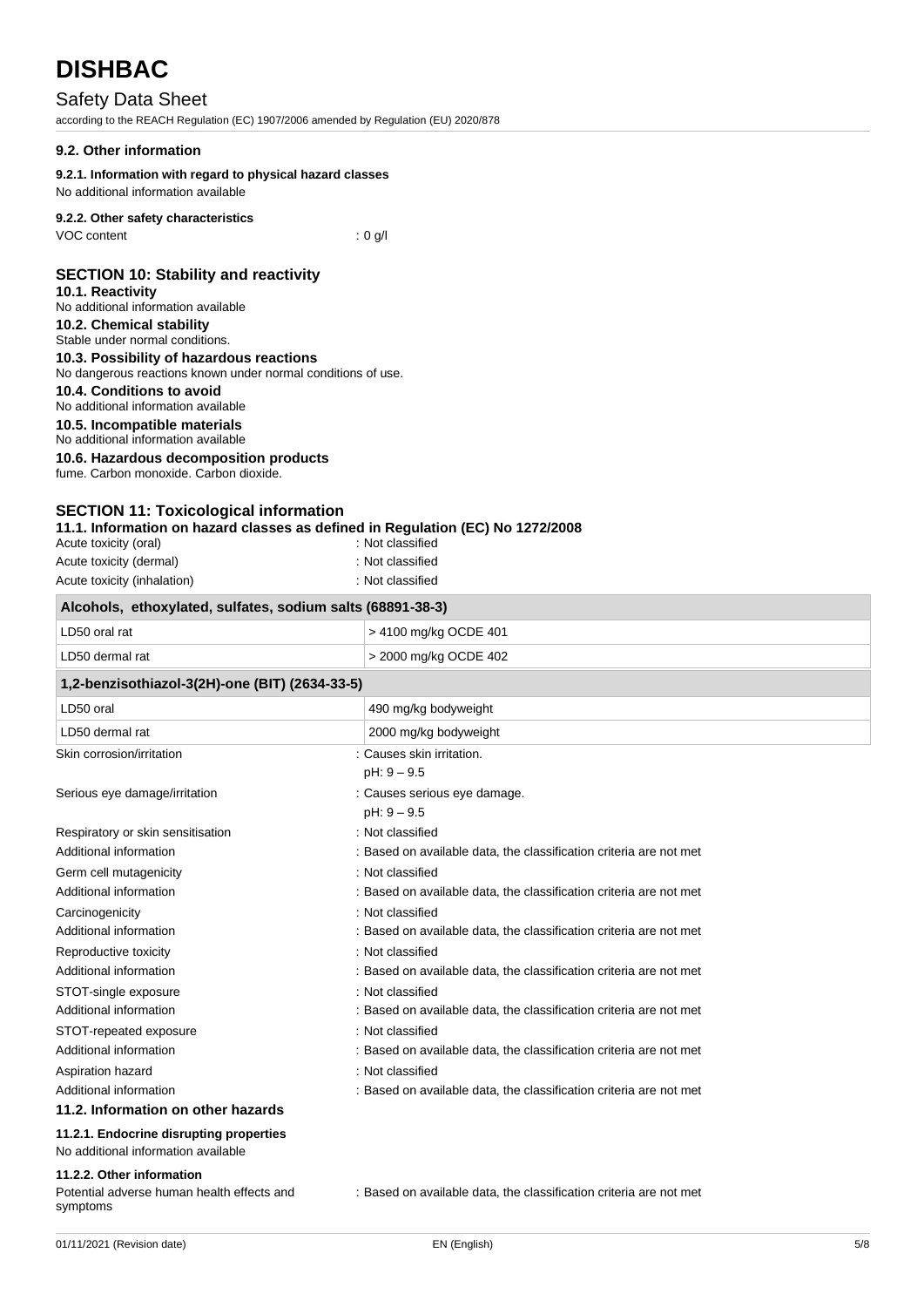# Safety Data Sheet

according to the REACH Regulation (EC) 1907/2006 amended by Regulation (EU) 2020/878

# **9.2. Other information**

# **9.2.1. Information with regard to physical hazard classes**

No additional information available

# **9.2.2. Other safety characteristics**

VOC content : 0 g/l

# **SECTION 10: Stability and reactivity**

#### **10.1. Reactivity**

- No additional information available **10.2. Chemical stability** Stable under normal conditions.
- **10.3. Possibility of hazardous reactions** No dangerous reactions known under normal conditions of use.

# **10.4. Conditions to avoid**

# No additional information available

**10.5. Incompatible materials**

# No additional information available

**10.6. Hazardous decomposition products**

fume. Carbon monoxide. Carbon dioxide.

# **SECTION 11: Toxicological information**

**11.1. Information on hazard classes as defined in Regulation (EC) No 1272/2008** Acute toxicity (oral) : Not classified

| Acult which wildly          | . TVUL UIQOOIIIGU |
|-----------------------------|-------------------|
| Acute toxicity (dermal)     | : Not classified  |
| Acute toxicity (inhalation) | : Not classified  |

| Alcohols, ethoxylated, sulfates, sodium salts (68891-38-3)                     |                                                                    |  |
|--------------------------------------------------------------------------------|--------------------------------------------------------------------|--|
| LD50 oral rat                                                                  | > 4100 mg/kg OCDE 401                                              |  |
| LD50 dermal rat                                                                | > 2000 mg/kg OCDE 402                                              |  |
| 1,2-benzisothiazol-3(2H)-one (BIT) (2634-33-5)                                 |                                                                    |  |
| LD50 oral                                                                      | 490 mg/kg bodyweight                                               |  |
| LD50 dermal rat                                                                | 2000 mg/kg bodyweight                                              |  |
| Skin corrosion/irritation                                                      | : Causes skin irritation.<br>$pH: 9 - 9.5$                         |  |
| Serious eye damage/irritation                                                  | : Causes serious eye damage.<br>$pH: 9 - 9.5$                      |  |
| Respiratory or skin sensitisation                                              | : Not classified                                                   |  |
| Additional information                                                         | : Based on available data, the classification criteria are not met |  |
| Germ cell mutagenicity                                                         | : Not classified                                                   |  |
| Additional information                                                         | : Based on available data, the classification criteria are not met |  |
| Carcinogenicity                                                                | : Not classified                                                   |  |
| Additional information                                                         | : Based on available data, the classification criteria are not met |  |
| Reproductive toxicity                                                          | : Not classified                                                   |  |
| Additional information                                                         | : Based on available data, the classification criteria are not met |  |
| STOT-single exposure                                                           | : Not classified                                                   |  |
| Additional information                                                         | : Based on available data, the classification criteria are not met |  |
| STOT-repeated exposure                                                         | : Not classified                                                   |  |
| Additional information                                                         | : Based on available data, the classification criteria are not met |  |
| Aspiration hazard                                                              | : Not classified                                                   |  |
| Additional information                                                         | : Based on available data, the classification criteria are not met |  |
| 11.2. Information on other hazards                                             |                                                                    |  |
| 11.2.1. Endocrine disrupting properties<br>No additional information available |                                                                    |  |
| $A \wedge A \wedge A$                                                          |                                                                    |  |

#### **11.2.2. Other information**

Potential adverse human health effects and symptoms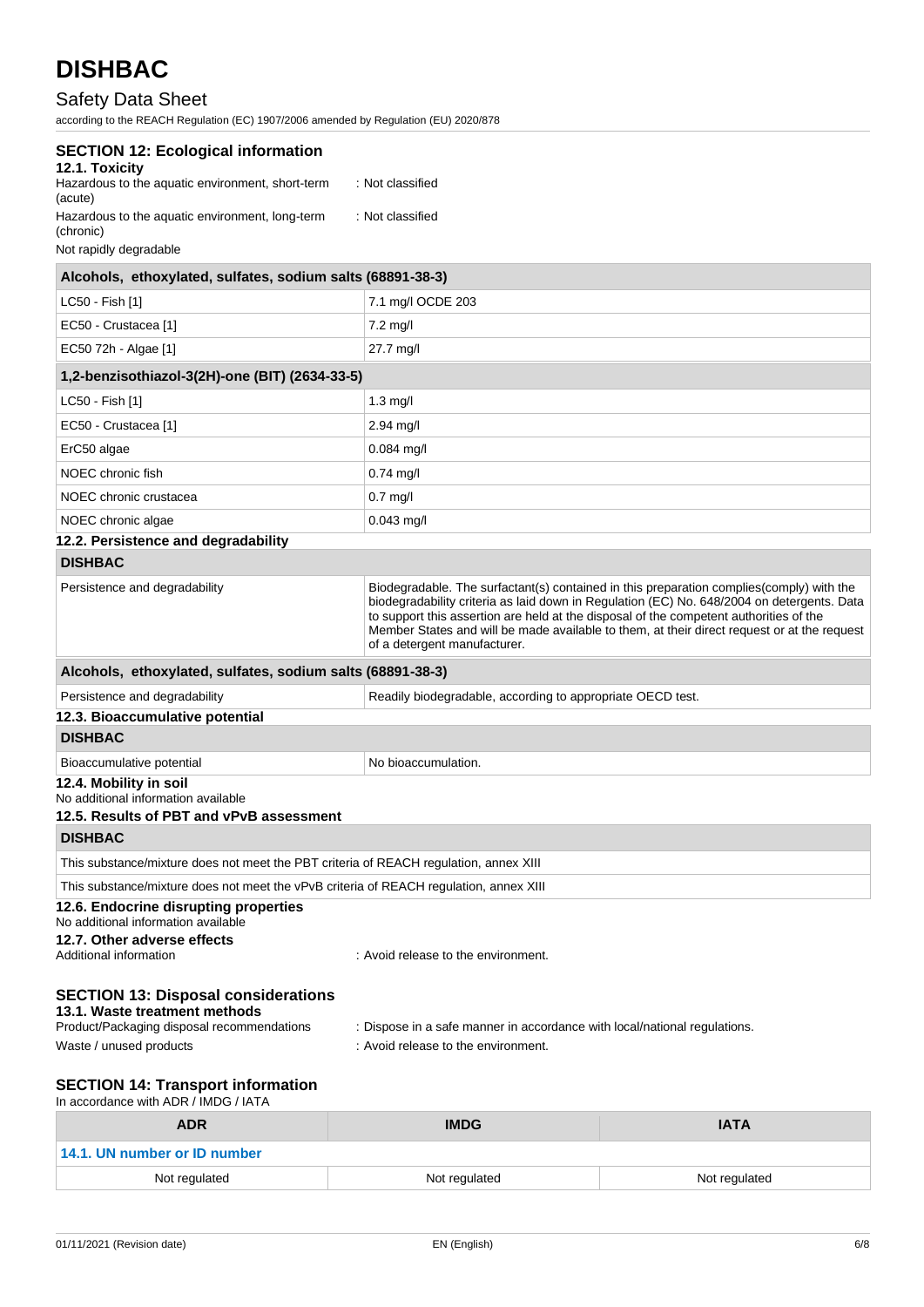# Safety Data Sheet

according to the REACH Regulation (EC) 1907/2006 amended by Regulation (EU) 2020/878

| <b>SECTION 12: Ecological information</b><br>12.1. Toxicity<br>Hazardous to the aquatic environment, short-term<br>(acute) | : Not classified                                                                                                       |                                                                                                                                                                                                                                                                                        |
|----------------------------------------------------------------------------------------------------------------------------|------------------------------------------------------------------------------------------------------------------------|----------------------------------------------------------------------------------------------------------------------------------------------------------------------------------------------------------------------------------------------------------------------------------------|
| Hazardous to the aquatic environment, long-term<br>(chronic)<br>Not rapidly degradable                                     | : Not classified                                                                                                       |                                                                                                                                                                                                                                                                                        |
| Alcohols, ethoxylated, sulfates, sodium salts (68891-38-3)                                                                 |                                                                                                                        |                                                                                                                                                                                                                                                                                        |
| LC50 - Fish [1]                                                                                                            | 7.1 mg/l OCDE 203                                                                                                      |                                                                                                                                                                                                                                                                                        |
| EC50 - Crustacea [1]                                                                                                       | $7.2$ mg/l                                                                                                             |                                                                                                                                                                                                                                                                                        |
| EC50 72h - Algae [1]                                                                                                       | $27.7 \text{ mg/l}$                                                                                                    |                                                                                                                                                                                                                                                                                        |
| 1,2-benzisothiazol-3(2H)-one (BIT) (2634-33-5)                                                                             |                                                                                                                        |                                                                                                                                                                                                                                                                                        |
| LC50 - Fish [1]                                                                                                            | $1.3$ mg/l                                                                                                             |                                                                                                                                                                                                                                                                                        |
| EC50 - Crustacea [1]                                                                                                       | $2.94$ mg/l                                                                                                            |                                                                                                                                                                                                                                                                                        |
| ErC50 algae                                                                                                                | $0.084$ mg/l                                                                                                           |                                                                                                                                                                                                                                                                                        |
| NOEC chronic fish                                                                                                          | 0.74 mg/l                                                                                                              |                                                                                                                                                                                                                                                                                        |
| NOEC chronic crustacea                                                                                                     | $0.7$ mg/l                                                                                                             |                                                                                                                                                                                                                                                                                        |
| NOEC chronic algae                                                                                                         | $0.043$ mg/l                                                                                                           |                                                                                                                                                                                                                                                                                        |
| 12.2. Persistence and degradability                                                                                        |                                                                                                                        |                                                                                                                                                                                                                                                                                        |
| <b>DISHBAC</b>                                                                                                             |                                                                                                                        |                                                                                                                                                                                                                                                                                        |
| Persistence and degradability                                                                                              | to support this assertion are held at the disposal of the competent authorities of the<br>of a detergent manufacturer. | Biodegradable. The surfactant(s) contained in this preparation complies (comply) with the<br>biodegradability criteria as laid down in Regulation (EC) No. 648/2004 on detergents. Data<br>Member States and will be made available to them, at their direct request or at the request |
| Alcohols, ethoxylated, sulfates, sodium salts (68891-38-3)                                                                 |                                                                                                                        |                                                                                                                                                                                                                                                                                        |
| Persistence and degradability                                                                                              | Readily biodegradable, according to appropriate OECD test.                                                             |                                                                                                                                                                                                                                                                                        |
| 12.3. Bioaccumulative potential                                                                                            |                                                                                                                        |                                                                                                                                                                                                                                                                                        |
| <b>DISHBAC</b>                                                                                                             |                                                                                                                        |                                                                                                                                                                                                                                                                                        |
| Bioaccumulative potential                                                                                                  | No bioaccumulation.                                                                                                    |                                                                                                                                                                                                                                                                                        |
| 12.4. Mobility in soil<br>No additional information available<br>12.5. Results of PBT and vPvB assessment                  |                                                                                                                        |                                                                                                                                                                                                                                                                                        |
| <b>DISHBAC</b>                                                                                                             |                                                                                                                        |                                                                                                                                                                                                                                                                                        |
| This substance/mixture does not meet the PBT criteria of REACH regulation, annex XIII                                      |                                                                                                                        |                                                                                                                                                                                                                                                                                        |
| This substance/mixture does not meet the vPvB criteria of REACH regulation, annex XIII                                     |                                                                                                                        |                                                                                                                                                                                                                                                                                        |
| 12.6. Endocrine disrupting properties<br>No additional information available                                               |                                                                                                                        |                                                                                                                                                                                                                                                                                        |
| 12.7. Other adverse effects<br>Additional information                                                                      | : Avoid release to the environment.                                                                                    |                                                                                                                                                                                                                                                                                        |
| <b>SECTION 13: Disposal considerations</b><br>13.1. Waste treatment methods<br>Product/Packaging disposal recommendations  | : Dispose in a safe manner in accordance with local/national regulations.                                              |                                                                                                                                                                                                                                                                                        |
| Waste / unused products                                                                                                    | : Avoid release to the environment.                                                                                    |                                                                                                                                                                                                                                                                                        |
| <b>SECTION 14: Transport information</b><br>In accordance with ADR / IMDG / IATA                                           |                                                                                                                        |                                                                                                                                                                                                                                                                                        |
| <b>ADR</b>                                                                                                                 | <b>IMDG</b>                                                                                                            | <b>IATA</b>                                                                                                                                                                                                                                                                            |

| ADR                          | <b>IMDG</b>   | IAIA          |
|------------------------------|---------------|---------------|
| 14.1. UN number or ID number |               |               |
| Not regulated                | Not regulated | Not regulated |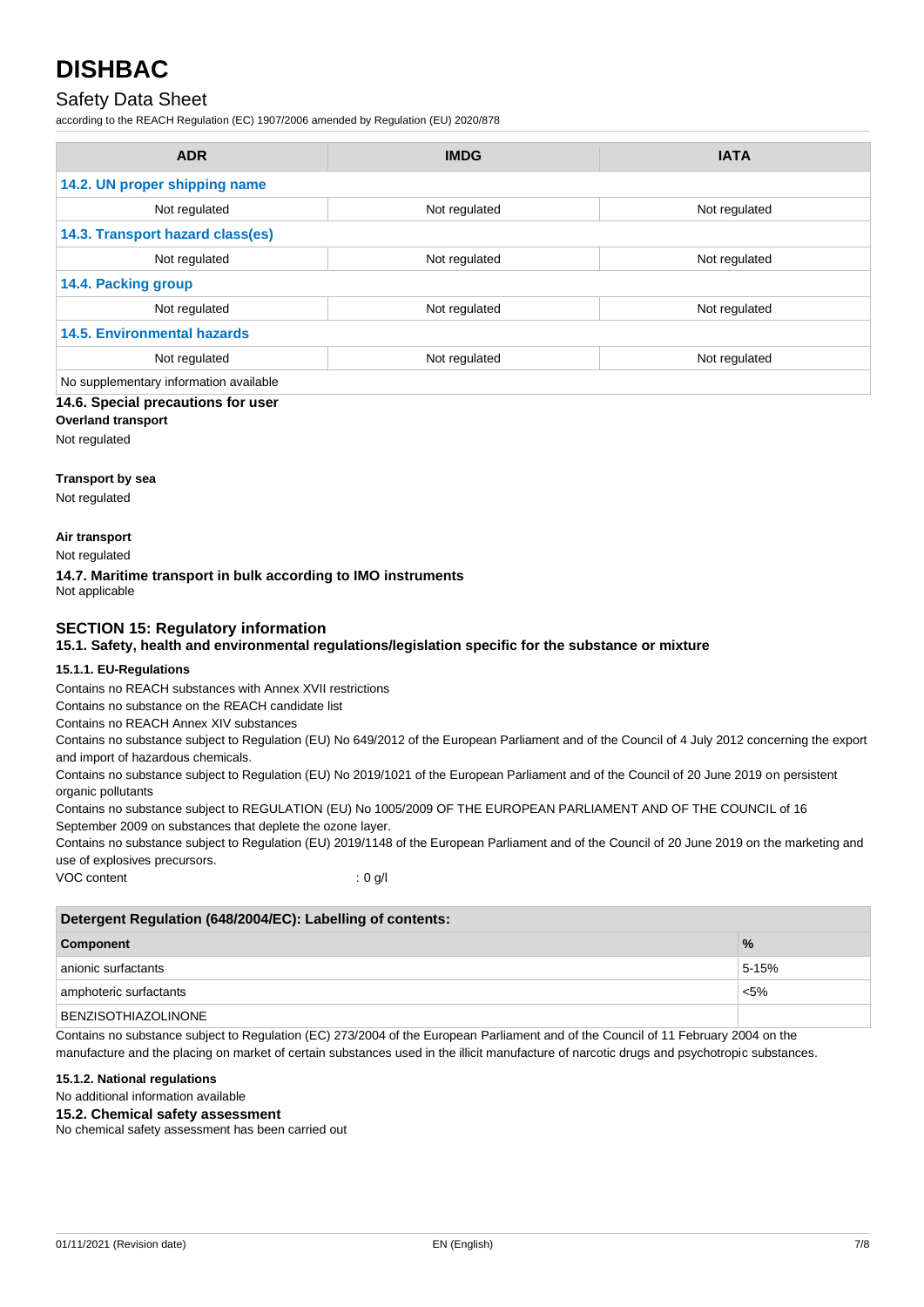# Safety Data Sheet

according to the REACH Regulation (EC) 1907/2006 amended by Regulation (EU) 2020/878

| <b>ADR</b>                             | <b>IMDG</b>   | <b>IATA</b>   |
|----------------------------------------|---------------|---------------|
| 14.2. UN proper shipping name          |               |               |
| Not regulated                          | Not regulated | Not regulated |
| 14.3. Transport hazard class(es)       |               |               |
| Not regulated                          | Not regulated | Not regulated |
| 14.4. Packing group                    |               |               |
| Not regulated                          | Not regulated | Not regulated |
| <b>14.5. Environmental hazards</b>     |               |               |
| Not regulated                          | Not regulated | Not regulated |
| No supplementary information available |               |               |

**14.6. Special precautions for user**

# **Overland transport**

Not regulated

#### **Transport by sea**

Not regulated

#### **Air transport**

Not regulated

#### **14.7. Maritime transport in bulk according to IMO instruments**

Not applicable

# **SECTION 15: Regulatory information**

### **15.1. Safety, health and environmental regulations/legislation specific for the substance or mixture**

#### **15.1.1. EU-Regulations**

Contains no REACH substances with Annex XVII restrictions

Contains no substance on the REACH candidate list

Contains no REACH Annex XIV substances

Contains no substance subject to Regulation (EU) No 649/2012 of the European Parliament and of the Council of 4 July 2012 concerning the export and import of hazardous chemicals.

Contains no substance subject to Regulation (EU) No 2019/1021 of the European Parliament and of the Council of 20 June 2019 on persistent organic pollutants

Contains no substance subject to REGULATION (EU) No 1005/2009 OF THE EUROPEAN PARLIAMENT AND OF THE COUNCIL of 16 September 2009 on substances that deplete the ozone layer.

Contains no substance subject to Regulation (EU) 2019/1148 of the European Parliament and of the Council of 20 June 2019 on the marketing and use of explosives precursors.

VOC content : 0 g/l

| Detergent Regulation (648/2004/EC): Labelling of contents: |               |  |
|------------------------------------------------------------|---------------|--|
| <b>Component</b>                                           | $\frac{9}{6}$ |  |
| anionic surfactants                                        | $5 - 15%$     |  |
| amphoteric surfactants                                     | $< 5\%$       |  |
| <b>BENZISOTHIAZOLINONE</b>                                 |               |  |

Contains no substance subject to Regulation (EC) 273/2004 of the European Parliament and of the Council of 11 February 2004 on the manufacture and the placing on market of certain substances used in the illicit manufacture of narcotic drugs and psychotropic substances.

#### **15.1.2. National regulations**

No additional information available

#### **15.2. Chemical safety assessment**

No chemical safety assessment has been carried out